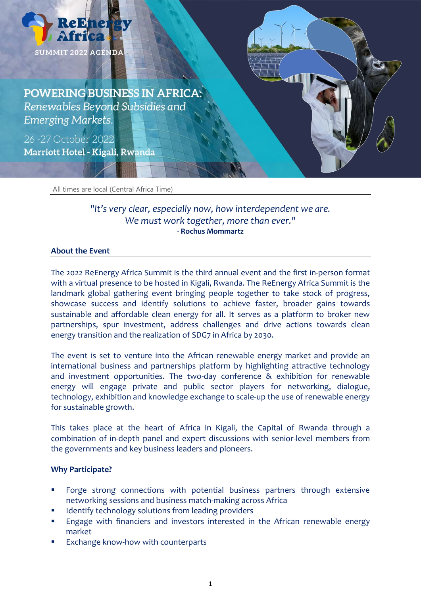

**POWERING BUSINESS IN AFRICA:** Renewables Beyond Subsidies and **Emerging Markets.** 

26-27 October 2022 Marriott Hotel - Kigali, Rwanda

All times are local (Central Africa Time)

# *"It's very clear, especially now, how interdependent we are. We must work together, more than ever."* - **Rochus Mommartz**

#### **About the Event**

The 2022 ReEnergy Africa Summit is the third annual event and the first in-person format with a virtual presence to be hosted in Kigali, Rwanda. The ReEnergy Africa Summit is the landmark global gathering event bringing people together to take stock of progress, showcase success and identify solutions to achieve faster, broader gains towards sustainable and affordable clean energy for all. It serves as a platform to broker new partnerships, spur investment, address challenges and drive actions towards clean energy transition and the realization of SDG7 in Africa by 2030.

The event is set to venture into the African renewable energy market and provide an international business and partnerships platform by highlighting attractive technology and investment opportunities. The two-day conference & exhibition for renewable energy will engage private and public sector players for networking, dialogue, technology, exhibition and knowledge exchange to scale-up the use of renewable energy for sustainable growth.

This takes place at the heart of Africa in Kigali, the Capital of Rwanda through a combination of in-depth panel and expert discussions with senior-level members from the governments and key business leaders and pioneers.

#### **Why Participate?**

- Forge strong connections with potential business partners through extensive networking sessions and business match-making across Africa
- Identify technology solutions from leading providers
- **Engage with financiers and investors interested in the African renewable energy** market
- Exchange know-how with counterparts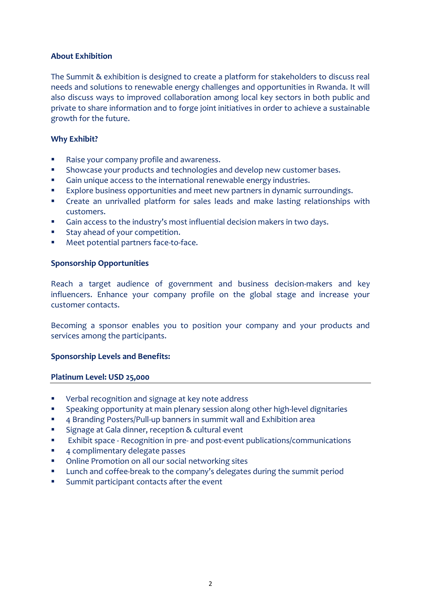## **About Exhibition**

The Summit & exhibition is designed to create a platform for stakeholders to discuss real needs and solutions to renewable energy challenges and opportunities in Rwanda. It will also discuss ways to improved collaboration among local key sectors in both public and private to share information and to forge joint initiatives in order to achieve a sustainable growth for the future.

### **Why Exhibit?**

- **Raise your company profile and awareness.**
- **Showcase your products and technologies and develop new customer bases.**
- Gain unique access to the international renewable energy industries.
- Explore business opportunities and meet new partners in dynamic surroundings.
- Create an unrivalled platform for sales leads and make lasting relationships with customers.
- Gain access to the industry's most influential decision makers in two days.
- **Stay ahead of your competition.**
- **Meet potential partners face-to-face.**

#### **Sponsorship Opportunities**

Reach a target audience of government and business decision-makers and key influencers. Enhance your company profile on the global stage and increase your customer contacts.

Becoming a sponsor enables you to position your company and your products and services among the participants.

#### **Sponsorship Levels and Benefits:**

#### **Platinum Level: USD 25,000**

- Verbal recognition and signage at key note address
- **Speaking opportunity at main plenary session along other high-level dignitaries**
- 4 Branding Posters/Pull-up banners in summit wall and Exhibition area
- **Signage at Gala dinner, reception & cultural event**
- **Exhibit space Recognition in pre- and post-event publications/communications**
- **4 complimentary delegate passes**
- Online Promotion on all our social networking sites
- Lunch and coffee-break to the company's delegates during the summit period
- **Summit participant contacts after the event**